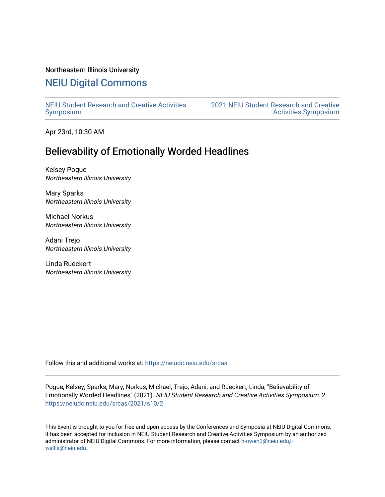## Northeastern Illinois University

## [NEIU Digital Commons](https://neiudc.neiu.edu/)

[NEIU Student Research and Creative Activities](https://neiudc.neiu.edu/srcas) [Symposium](https://neiudc.neiu.edu/srcas) 

[2021 NEIU Student Research and Creative](https://neiudc.neiu.edu/srcas/2021)  [Activities Symposium](https://neiudc.neiu.edu/srcas/2021) 

Apr 23rd, 10:30 AM

## Believability of Emotionally Worded Headlines

Kelsey Pogue Northeastern Illinois University

Mary Sparks Northeastern Illinois University

Michael Norkus Northeastern Illinois University

Adani Trejo Northeastern Illinois University

Linda Rueckert Northeastern Illinois University

Follow this and additional works at: [https://neiudc.neiu.edu/srcas](https://neiudc.neiu.edu/srcas?utm_source=neiudc.neiu.edu%2Fsrcas%2F2021%2Fs10%2F2&utm_medium=PDF&utm_campaign=PDFCoverPages) 

Pogue, Kelsey; Sparks, Mary; Norkus, Michael; Trejo, Adani; and Rueckert, Linda, "Believability of Emotionally Worded Headlines" (2021). NEIU Student Research and Creative Activities Symposium. 2. [https://neiudc.neiu.edu/srcas/2021/s10/2](https://neiudc.neiu.edu/srcas/2021/s10/2?utm_source=neiudc.neiu.edu%2Fsrcas%2F2021%2Fs10%2F2&utm_medium=PDF&utm_campaign=PDFCoverPages) 

This Event is brought to you for free and open access by the Conferences and Symposia at NEIU Digital Commons. It has been accepted for inclusion in NEIU Student Research and Creative Activities Symposium by an authorized administrator of NEIU Digital Commons. For more information, please contact [h-owen3@neiu.edu,l](mailto:h-owen3@neiu.edu,l-wallis@neiu.edu)[wallis@neiu.edu.](mailto:h-owen3@neiu.edu,l-wallis@neiu.edu)